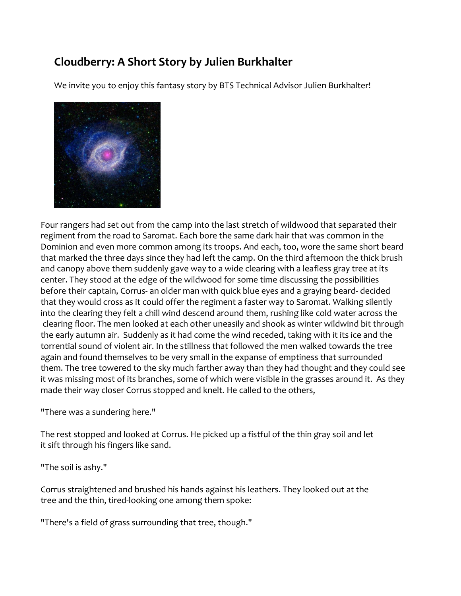## **Cloudberry: A Short Story by Julien Burkhalter**

We invite you to enjoy this fantasy story by BTS Technical Advisor Julien Burkhalter!



Four rangers had set out from the camp into the last stretch of wildwood that separated their regiment from the road to Saromat. Each bore the same dark hair that was common in the Dominion and even more common among its troops. And each, too, wore the same short beard that marked the three days since they had left the camp. On the third afternoon the thick brush and canopy above them suddenly gave way to a wide clearing with a leafless gray tree at its center. They stood at the edge of the wildwood for some time discussing the possibilities before their captain, Corrus- an older man with quick blue eyes and a graying beard- decided that they would cross as it could offer the regiment a faster way to Saromat. Walking silently into the clearing they felt a chill wind descend around them, rushing like cold water across the clearing floor. The men looked at each other uneasily and shook as winter wildwind bit through the early autumn air. Suddenly as it had come the wind receded, taking with it its ice and the torrential sound of violent air. In the stillness that followed the men walked towards the tree again and found themselves to be very small in the expanse of emptiness that surrounded them. The tree towered to the sky much farther away than they had thought and they could see it was missing most of its branches, some of which were visible in the grasses around it. As they made their way closer Corrus stopped and knelt. He called to the others,

"There was a sundering here."

The rest stopped and looked at Corrus. He picked up a fistful of the thin gray soil and let it sift through his fingers like sand.

"The soil is ashy."

Corrus straightened and brushed his hands against his leathers. They looked out at the tree and the thin, tired-looking one among them spoke:

"There's a field of grass surrounding that tree, though."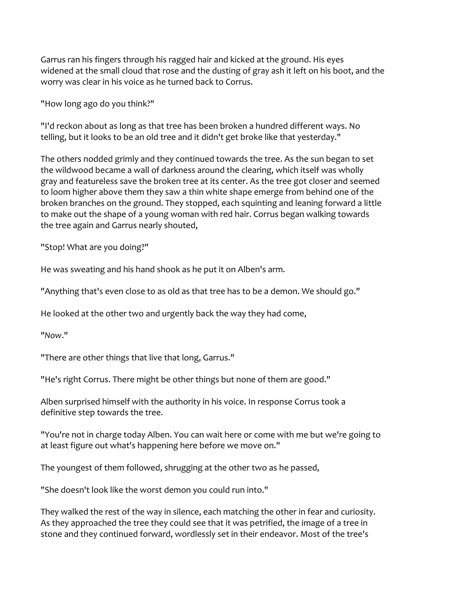Garrus ran his fingers through his ragged hair and kicked at the ground. His eyes widened at the small cloud that rose and the dusting of gray ash it left on his boot, and the worry was clear in his voice as he turned back to Corrus.

"How long ago do you think?"

"I'd reckon about as long as that tree has been broken a hundred different ways. No telling, but it looks to be an old tree and it didn't get broke like that yesterday."

The others nodded grimly and they continued towards the tree. As the sun began to set the wildwood became a wall of darkness around the clearing, which itself was wholly gray and featureless save the broken tree at its center. As the tree got closer and seemed to loom higher above them they saw a thin white shape emerge from behind one of the broken branches on the ground. They stopped, each squinting and leaning forward a little to make out the shape of a young woman with red hair. Corrus began walking towards the tree again and Garrus nearly shouted,

"Stop! What are you doing?"

He was sweating and his hand shook as he put it on Alben's arm.

"Anything that's even close to as old as that tree has to be a demon. We should go."

He looked at the other two and urgently back the way they had come,

"*Now*."

"There are other things that live that long, Garrus."

"He's right Corrus. There might be other things but none of them are good."

Alben surprised himself with the authority in his voice. In response Corrus took a definitive step towards the tree.

"You're not in charge today Alben. You can wait here or come with me but we're going to at least figure out what's happening here before we move on."

The youngest of them followed, shrugging at the other two as he passed,

"She doesn't look like the worst demon you could run into."

They walked the rest of the way in silence, each matching the other in fear and curiosity. As they approached the tree they could see that it was petrified, the image of a tree in stone and they continued forward, wordlessly set in their endeavor. Most of the tree's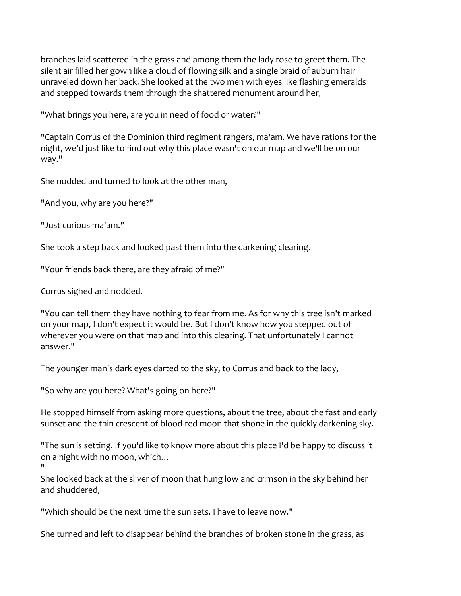branches laid scattered in the grass and among them the lady rose to greet them. The silent air filled her gown like a cloud of flowing silk and a single braid of auburn hair unraveled down her back. She looked at the two men with eyes like flashing emeralds and stepped towards them through the shattered monument around her,

"What brings you here, are you in need of food or water?"

"Captain Corrus of the Dominion third regiment rangers, ma'am. We have rations for the night, we'd just like to find out why this place wasn't on our map and we'll be on our way."

She nodded and turned to look at the other man,

"And you, why are you here?"

"Just curious ma'am."

She took a step back and looked past them into the darkening clearing.

"Your friends back there, are they afraid of me?"

Corrus sighed and nodded.

"You can tell them they have nothing to fear from me. As for why this tree isn't marked on your map, I don't expect it would be. But I don't know how you stepped out of wherever you were on that map and into this clearing. That unfortunately I cannot answer."

The younger man's dark eyes darted to the sky, to Corrus and back to the lady,

"So why are you here? What's going on here?"

He stopped himself from asking more questions, about the tree, about the fast and early sunset and the thin crescent of blood-red moon that shone in the quickly darkening sky.

"The sun is setting. If you'd like to know more about this place I'd be happy to discuss it on a night with no moon, which…

" She looked back at the sliver of moon that hung low and crimson in the sky behind her and shuddered,

"Which should be the next time the sun sets. I have to leave now."

She turned and left to disappear behind the branches of broken stone in the grass, as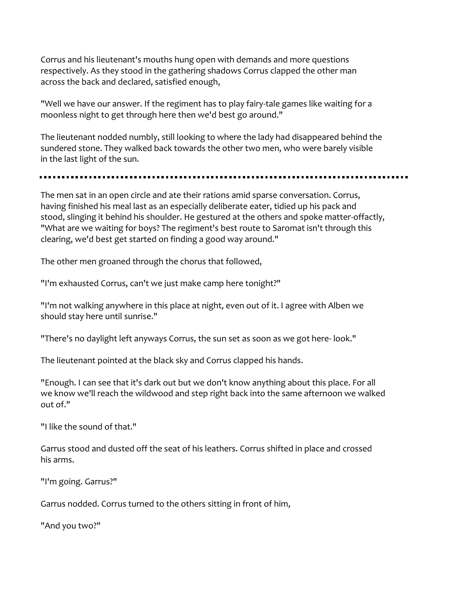Corrus and his lieutenant's mouths hung open with demands and more questions respectively. As they stood in the gathering shadows Corrus clapped the other man across the back and declared, satisfied enough,

"Well we have our answer. If the regiment has to play fairy-tale games like waiting for a moonless night to get through here then we'd best go around."

The lieutenant nodded numbly, still looking to where the lady had disappeared behind the sundered stone. They walked back towards the other two men, who were barely visible in the last light of the sun.

## 

The men sat in an open circle and ate their rations amid sparse conversation. Corrus, having finished his meal last as an especially deliberate eater, tidied up his pack and stood, slinging it behind his shoulder. He gestured at the others and spoke matter-offactly, "What are we waiting for boys? The regiment's best route to Saromat isn't through this clearing, we'd best get started on finding a good way around."

The other men groaned through the chorus that followed,

"I'm exhausted Corrus, can't we just make camp here tonight?"

"I'm not walking anywhere in this place at night, even out of it. I agree with Alben we should stay here until sunrise."

"There's no daylight left anyways Corrus, the sun set as soon as we got here- look."

The lieutenant pointed at the black sky and Corrus clapped his hands.

"Enough. I can see that it's dark out but we don't know anything about this place. For all we know we'll reach the wildwood and step right back into the same afternoon we walked out of."

"I like the sound of that."

Garrus stood and dusted off the seat of his leathers. Corrus shifted in place and crossed his arms.

"I'm going. Garrus?"

Garrus nodded. Corrus turned to the others sitting in front of him,

"And you two?"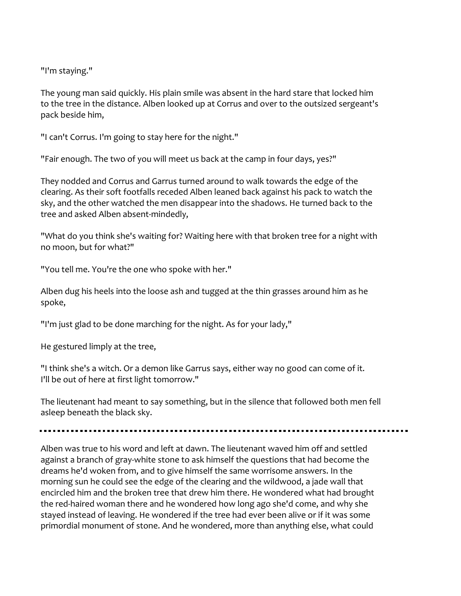"I'm staying."

The young man said quickly. His plain smile was absent in the hard stare that locked him to the tree in the distance. Alben looked up at Corrus and over to the outsized sergeant's pack beside him,

"I can't Corrus. I'm going to stay here for the night."

"Fair enough. The two of you will meet us back at the camp in four days, yes?"

They nodded and Corrus and Garrus turned around to walk towards the edge of the clearing. As their soft footfalls receded Alben leaned back against his pack to watch the sky, and the other watched the men disappear into the shadows. He turned back to the tree and asked Alben absent-mindedly,

"What do you think she's waiting for? Waiting here with that broken tree for a night with no moon, but for what?"

"You tell me. You're the one who spoke with her."

Alben dug his heels into the loose ash and tugged at the thin grasses around him as he spoke,

"I'm just glad to be done marching for the night. As for your lady,"

He gestured limply at the tree,

"I think she's a witch. Or a demon like Garrus says, either way no good can come of it. I'll be out of here at first light tomorrow."

The lieutenant had meant to say something, but in the silence that followed both men fell asleep beneath the black sky.

Alben was true to his word and left at dawn. The lieutenant waved him off and settled against a branch of gray-white stone to ask himself the questions that had become the dreams he'd woken from, and to give himself the same worrisome answers. In the morning sun he could see the edge of the clearing and the wildwood, a jade wall that encircled him and the broken tree that drew him there. He wondered what had brought the red-haired woman there and he wondered how long ago she'd come, and why she stayed instead of leaving. He wondered if the tree had ever been alive or if it was some primordial monument of stone. And he wondered, more than anything else, what could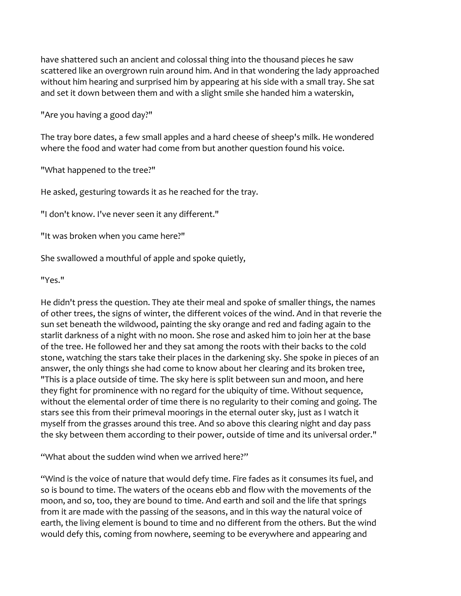have shattered such an ancient and colossal thing into the thousand pieces he saw scattered like an overgrown ruin around him. And in that wondering the lady approached without him hearing and surprised him by appearing at his side with a small tray. She sat and set it down between them and with a slight smile she handed him a waterskin,

"Are you having a good day?"

The tray bore dates, a few small apples and a hard cheese of sheep's milk. He wondered where the food and water had come from but another question found his voice.

"What happened to the tree?"

He asked, gesturing towards it as he reached for the tray.

"I don't know. I've never seen it any different."

"It was broken when you came here?"

She swallowed a mouthful of apple and spoke quietly,

"Yes."

He didn't press the question. They ate their meal and spoke of smaller things, the names of other trees, the signs of winter, the different voices of the wind. And in that reverie the sun set beneath the wildwood, painting the sky orange and red and fading again to the starlit darkness of a night with no moon. She rose and asked him to join her at the base of the tree. He followed her and they sat among the roots with their backs to the cold stone, watching the stars take their places in the darkening sky. She spoke in pieces of an answer, the only things she had come to know about her clearing and its broken tree, "This is a place outside of time. The sky here is split between sun and moon, and here they fight for prominence with no regard for the ubiquity of time. Without sequence, without the elemental order of time there is no regularity to their coming and going. The stars see this from their primeval moorings in the eternal outer sky, just as I watch it myself from the grasses around this tree. And so above this clearing night and day pass the sky between them according to their power, outside of time and its universal order."

"What about the sudden wind when we arrived here?"

"Wind is the voice of nature that would defy time. Fire fades as it consumes its fuel, and so is bound to time. The waters of the oceans ebb and flow with the movements of the moon, and so, too, they are bound to time. And earth and soil and the life that springs from it are made with the passing of the seasons, and in this way the natural voice of earth, the living element is bound to time and no different from the others. But the wind would defy this, coming from nowhere, seeming to be everywhere and appearing and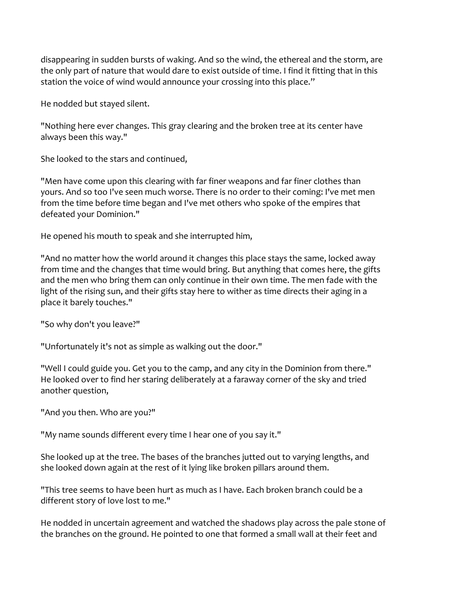disappearing in sudden bursts of waking. And so the wind, the ethereal and the storm, are the only part of nature that would dare to exist outside of time. I find it fitting that in this station the voice of wind would announce your crossing into this place."

He nodded but stayed silent.

"Nothing here ever changes. This gray clearing and the broken tree at its center have always been this way."

She looked to the stars and continued,

"Men have come upon this clearing with far finer weapons and far finer clothes than yours. And so too I've seen much worse. There is no order to their coming: I've met men from the time before time began and I've met others who spoke of the empires that defeated your Dominion."

He opened his mouth to speak and she interrupted him,

"And no matter how the world around it changes this place stays the same, locked away from time and the changes that time would bring. But anything that comes here, the gifts and the men who bring them can only continue in their own time. The men fade with the light of the rising sun, and their gifts stay here to wither as time directs their aging in a place it barely touches."

"So why don't you leave?"

"Unfortunately it's not as simple as walking out the door."

"Well I could guide you. Get you to the camp, and any city in the Dominion from there." He looked over to find her staring deliberately at a faraway corner of the sky and tried another question,

"And you then. Who are you?"

"My name sounds different every time I hear one of you say it."

She looked up at the tree. The bases of the branches jutted out to varying lengths, and she looked down again at the rest of it lying like broken pillars around them.

"This tree seems to have been hurt as much as I have. Each broken branch could be a different story of love lost to me."

He nodded in uncertain agreement and watched the shadows play across the pale stone of the branches on the ground. He pointed to one that formed a small wall at their feet and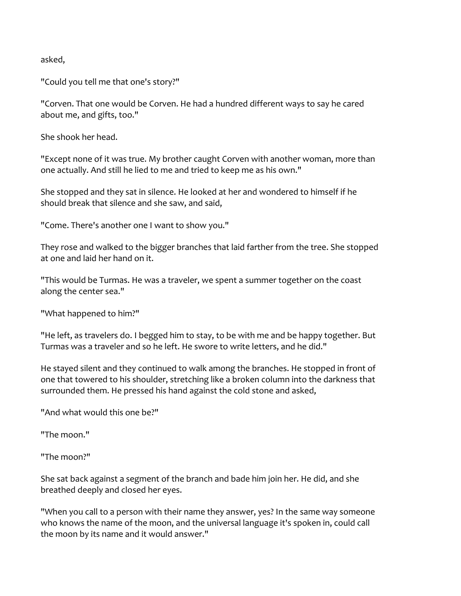asked,

"Could you tell me that one's story?"

"Corven. That one would be Corven. He had a hundred different ways to say he cared about me, and gifts, too."

She shook her head.

"Except none of it was true. My brother caught Corven with another woman, more than one actually. And still he lied to me and tried to keep me as his own."

She stopped and they sat in silence. He looked at her and wondered to himself if he should break that silence and she saw, and said,

"Come. There's another one I want to show you."

They rose and walked to the bigger branches that laid farther from the tree. She stopped at one and laid her hand on it.

"This would be Turmas. He was a traveler, we spent a summer together on the coast along the center sea."

"What happened to him?"

"He left, as travelers do. I begged him to stay, to be with me and be happy together. But Turmas was a traveler and so he left. He swore to write letters, and he did."

He stayed silent and they continued to walk among the branches. He stopped in front of one that towered to his shoulder, stretching like a broken column into the darkness that surrounded them. He pressed his hand against the cold stone and asked,

"And what would this one be?"

"The moon."

"The moon?"

She sat back against a segment of the branch and bade him join her. He did, and she breathed deeply and closed her eyes.

"When you call to a person with their name they answer, yes? In the same way someone who knows the name of the moon, and the universal language it's spoken in, could call the moon by its name and it would answer."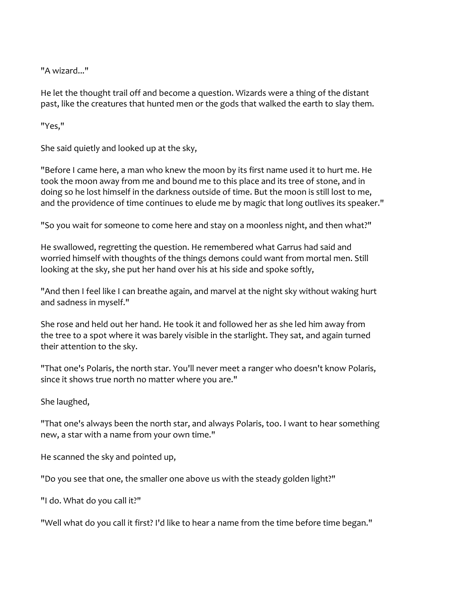"A wizard..."

He let the thought trail off and become a question. Wizards were a thing of the distant past, like the creatures that hunted men or the gods that walked the earth to slay them.

"Yes,"

She said quietly and looked up at the sky,

"Before I came here, a man who knew the moon by its first name used it to hurt me. He took the moon away from me and bound me to this place and its tree of stone, and in doing so he lost himself in the darkness outside of time. But the moon is still lost to me, and the providence of time continues to elude me by magic that long outlives its speaker."

"So you wait for someone to come here and stay on a moonless night, and then what?"

He swallowed, regretting the question. He remembered what Garrus had said and worried himself with thoughts of the things demons could want from mortal men. Still looking at the sky, she put her hand over his at his side and spoke softly,

"And then I feel like I can breathe again, and marvel at the night sky without waking hurt and sadness in myself."

She rose and held out her hand. He took it and followed her as she led him away from the tree to a spot where it was barely visible in the starlight. They sat, and again turned their attention to the sky.

"That one's Polaris, the north star. You'll never meet a ranger who doesn't know Polaris, since it shows true north no matter where you are."

She laughed,

"That one's always been the north star, and always Polaris, too. I want to hear something new, a star with a name from your own time."

He scanned the sky and pointed up,

"Do you see that one, the smaller one above us with the steady golden light?"

"I do. What do you call it?"

"Well what do you call it first? I'd like to hear a name from the time before time began."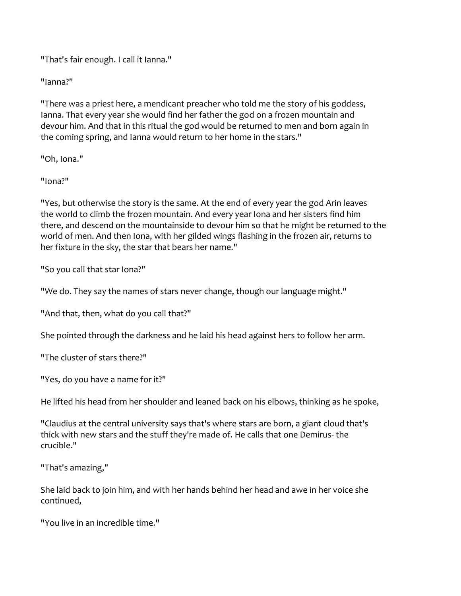"That's fair enough. I call it Ianna."

"Ianna?"

"There was a priest here, a mendicant preacher who told me the story of his goddess, Ianna. That every year she would find her father the god on a frozen mountain and devour him. And that in this ritual the god would be returned to men and born again in the coming spring, and Ianna would return to her home in the stars."

"Oh, Iona."

"Iona?"

"Yes, but otherwise the story is the same. At the end of every year the god Arin leaves the world to climb the frozen mountain. And every year Iona and her sisters find him there, and descend on the mountainside to devour him so that he might be returned to the world of men. And then Iona, with her gilded wings flashing in the frozen air, returns to her fixture in the sky, the star that bears her name."

"So you call that star Iona?"

"We do. They say the names of stars never change, though our language might."

"And that, then, what do you call that?"

She pointed through the darkness and he laid his head against hers to follow her arm.

"The cluster of stars there?"

"Yes, do you have a name for it?"

He lifted his head from her shoulder and leaned back on his elbows, thinking as he spoke,

"Claudius at the central university says that's where stars are born, a giant cloud that's thick with new stars and the stuff they're made of. He calls that one Demirus- the crucible."

"That's amazing,"

She laid back to join him, and with her hands behind her head and awe in her voice she continued,

"You live in an incredible time."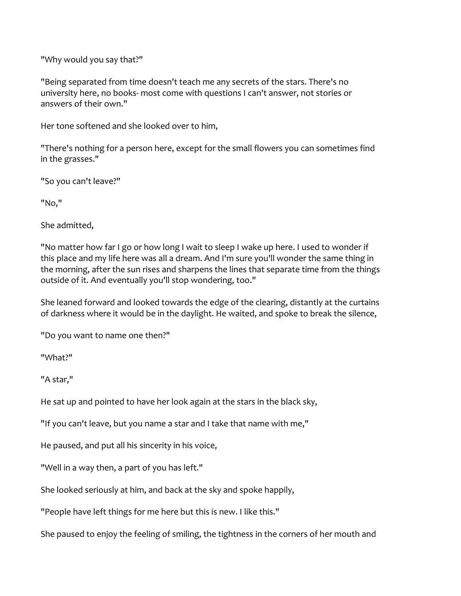"Why would you say that?"

"Being separated from time doesn't teach me any secrets of the stars. There's no university here, no books- most come with questions I can't answer, not stories or answers of their own."

Her tone softened and she looked over to him,

"There's nothing for a person here, except for the small flowers you can sometimes find in the grasses."

"So you can't leave?"

"No,"

She admitted,

"No matter how far I go or how long I wait to sleep I wake up here. I used to wonder if this place and my life here was all a dream. And I'm sure you'll wonder the same thing in the morning, after the sun rises and sharpens the lines that separate time from the things outside of it. And eventually you'll stop wondering, too."

She leaned forward and looked towards the edge of the clearing, distantly at the curtains of darkness where it would be in the daylight. He waited, and spoke to break the silence,

"Do you want to name one then?"

"What?"

"A star,"

He sat up and pointed to have her look again at the stars in the black sky,

"If you can't leave, but you name a star and I take that name with me,"

He paused, and put all his sincerity in his voice,

"Well in a way then, a part of you has left."

She looked seriously at him, and back at the sky and spoke happily,

"People have left things for me here but this is new. I like this."

She paused to enjoy the feeling of smiling, the tightness in the corners of her mouth and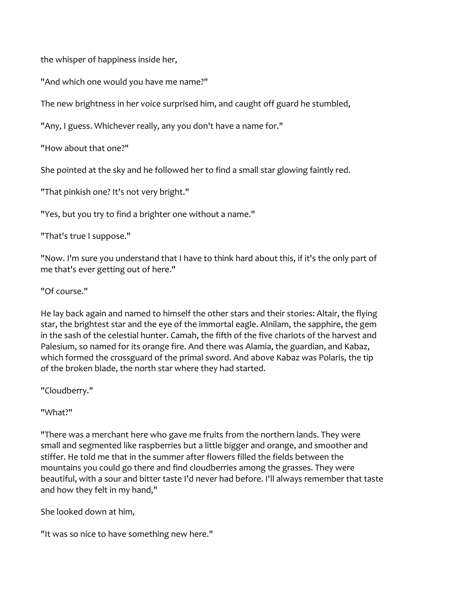the whisper of happiness inside her,

"And which one would you have me name?"

The new brightness in her voice surprised him, and caught off guard he stumbled,

"Any, I guess. Whichever really, any you don't have a name for."

"How about that one?"

She pointed at the sky and he followed her to find a small star glowing faintly red.

"That pinkish one? It's not very bright."

"Yes, but you try to find a brighter one without a name."

"That's true I suppose."

"Now. I'm sure you understand that I have to think hard about this, if it's the only part of me that's ever getting out of here."

"Of course."

He lay back again and named to himself the other stars and their stories: Altair, the flying star, the brightest star and the eye of the immortal eagle. Alnilam, the sapphire, the gem in the sash of the celestial hunter. Camah, the fifth of the five chariots of the harvest and Palesium, so named for its orange fire. And there was Alamia, the guardian, and Kabaz, which formed the crossguard of the primal sword. And above Kabaz was Polaris, the tip of the broken blade, the north star where they had started.

"Cloudberry."

"What?"

"There was a merchant here who gave me fruits from the northern lands. They were small and segmented like raspberries but a little bigger and orange, and smoother and stiffer. He told me that in the summer after flowers filled the fields between the mountains you could go there and find cloudberries among the grasses. They were beautiful, with a sour and bitter taste I'd never had before. I'll always remember that taste and how they felt in my hand,"

She looked down at him,

"It was so nice to have something new here."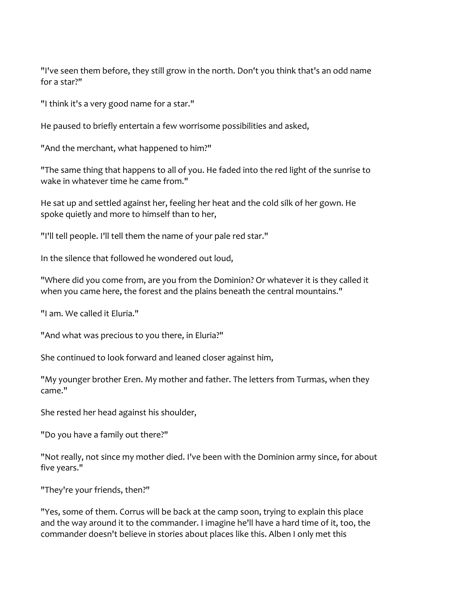"I've seen them before, they still grow in the north. Don't you think that's an odd name for a star?"

"I think it's a very good name for a star."

He paused to briefly entertain a few worrisome possibilities and asked,

"And the merchant, what happened to him?"

"The same thing that happens to all of you. He faded into the red light of the sunrise to wake in whatever time he came from."

He sat up and settled against her, feeling her heat and the cold silk of her gown. He spoke quietly and more to himself than to her,

"I'll tell people. I'll tell them the name of your pale red star."

In the silence that followed he wondered out loud,

"Where did you come from, are you from the Dominion? Or whatever it is they called it when you came here, the forest and the plains beneath the central mountains."

"I am. We called it Eluria."

"And what was precious to you there, in Eluria?"

She continued to look forward and leaned closer against him,

"My younger brother Eren. My mother and father. The letters from Turmas, when they came."

She rested her head against his shoulder,

"Do you have a family out there?"

"Not really, not since my mother died. I've been with the Dominion army since, for about five years."

"They're your friends, then?"

"Yes, some of them. Corrus will be back at the camp soon, trying to explain this place and the way around it to the commander. I imagine he'll have a hard time of it, too, the commander doesn't believe in stories about places like this. Alben I only met this